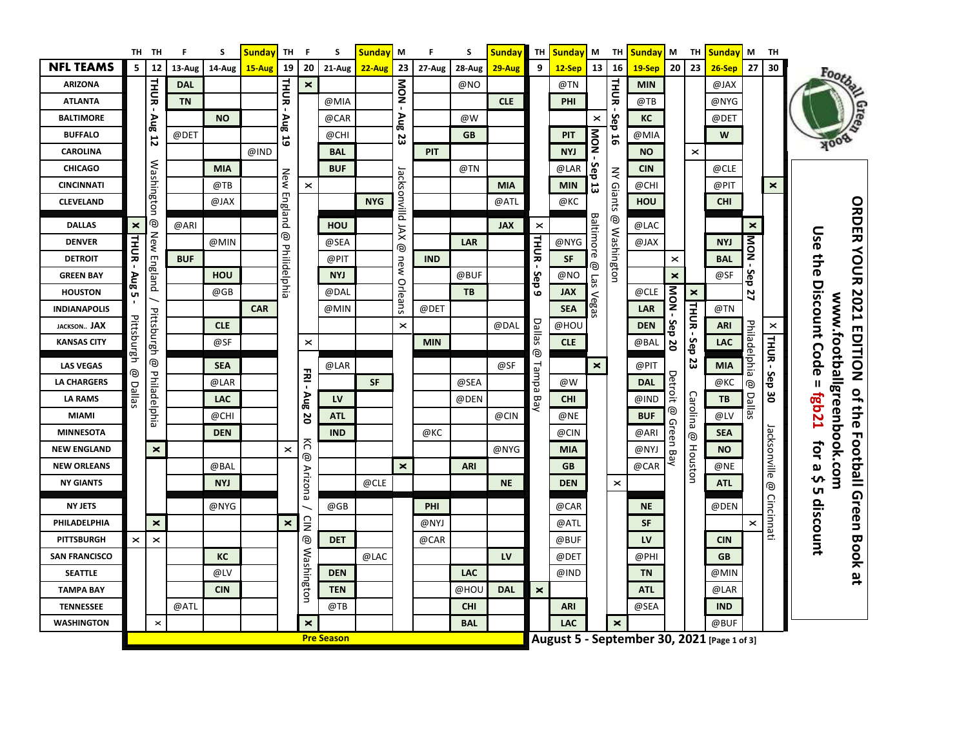|                      |                           | TH TH              | F          | S          | <b>Sunday</b> | <b>TH</b>             | F              | S                 | <b>Sunday</b> | M              | F          | S          | <b>Sunday</b> | TH                    | <b>Sunday</b>                               | M              | TH                    | <b>Sunday</b> | M              | TH             | <b>Sunday</b> | M                     | <b>TH</b>      |                                                                                                              |
|----------------------|---------------------------|--------------------|------------|------------|---------------|-----------------------|----------------|-------------------|---------------|----------------|------------|------------|---------------|-----------------------|---------------------------------------------|----------------|-----------------------|---------------|----------------|----------------|---------------|-----------------------|----------------|--------------------------------------------------------------------------------------------------------------|
| <b>NFL TEAMS</b>     | 5                         | 12                 | 13-Aug     | 14-Aug     | 15-Aug        | 19                    | 20             | 21-Aug            | $22-Aug$      | 23             | 27-Aug     | 28-Aug     | 29-Aug        | 9                     | $12-Sep$                                    | 13             | 16                    | $19-$ Sep     | 20             | 23             | $26-Sep$      | 27                    | 30             | Footba                                                                                                       |
| <b>ARIZONA</b>       |                           |                    | <b>DAL</b> |            |               | <b>THUR</b>           | ×              |                   |               | <b>NOM</b>     |            | @NO        |               |                       | @TN                                         |                | <b>HIOR</b>           | <b>MIN</b>    |                |                | @JAX          |                       |                |                                                                                                              |
| <b>ATLANTA</b>       |                           | THUR-              | <b>TN</b>  |            |               | $\blacksquare$        |                | @MIA              |               | $\blacksquare$ |            |            | <b>CLE</b>    |                       | PHI                                         |                |                       | @TB           |                |                | @NYG          |                       |                |                                                                                                              |
| <b>BALTIMORE</b>     |                           |                    |            | <b>NO</b>  |               | Aug                   |                | @CAR              |               | Aug            |            | @W         |               |                       |                                             | $\pmb{\times}$ | န္                    | КC            |                |                | @DET          |                       |                |                                                                                                              |
| <b>BUFFALO</b>       |                           | <b>Aug 12</b>      | @DET       |            |               | 5                     |                | @CHI              |               | 23             |            | <b>GB</b>  |               |                       | <b>PIT</b>                                  | - NOM          | ਠ<br>56               | @MIA          |                |                | W             |                       |                |                                                                                                              |
| <b>CAROLINA</b>      |                           |                    |            |            | @IND          |                       |                | <b>BAL</b>        |               |                | <b>PIT</b> |            |               |                       | <b>NYJ</b>                                  |                |                       | <b>NO</b>     |                | $\pmb{\times}$ |               |                       |                |                                                                                                              |
| <b>CHICAGO</b>       |                           |                    |            | <b>MIA</b> |               |                       |                | <b>BUF</b>        |               |                |            | @TN        |               |                       | @LAR                                        | Sep            |                       | <b>CIN</b>    |                |                | @CLE          |                       |                |                                                                                                              |
| <b>CINCINNATI</b>    |                           |                    |            | @TB        |               | New                   | $\times$       |                   |               |                |            |            | <b>MIA</b>    |                       | <b>MIN</b>                                  | 5              |                       | @CHI          |                |                | @PIT          |                       | $\pmb{\times}$ |                                                                                                              |
| <b>CLEVELAND</b>     |                           | Washington         |            | @JAX       |               | / England             |                |                   | <b>NYG</b>    | Jacksonvilld   |            |            | @ATL          |                       | @KC                                         |                | <b>NY Giants</b>      | HOU           |                |                | <b>CHI</b>    |                       |                |                                                                                                              |
| <b>DALLAS</b>        | $\boldsymbol{\mathsf{x}}$ | ම                  | @ARI       |            |               |                       |                | HOU               |               | XAl            |            |            | <b>JAX</b>    | $\pmb{\times}$        |                                             | Baltimore      | ම                     | @LAC          |                |                |               | ×                     |                |                                                                                                              |
| <b>DENVER</b>        |                           | <b>New England</b> |            | @MIN       |               | ම                     |                | @SEA              |               | ම              |            | LAR        |               | <b>THUR</b>           | @NYG                                        |                | Washington            | @JAX          |                |                | <b>NYJ</b>    | <b>NOM</b>            |                |                                                                                                              |
| <b>DETROIT</b>       | <b>THUR</b>               |                    | <b>BUF</b> |            |               |                       |                | @PIT              |               | new            | <b>IND</b> |            |               |                       | <b>SF</b>                                   |                |                       |               | $\times$       |                | <b>BAL</b>    |                       |                |                                                                                                              |
| <b>GREEN BAY</b>     |                           |                    |            | <b>HOU</b> |               | Philidelphia          |                | <b>NYJ</b>        |               |                |            | @BUF       |               | Sep                   | $@NO$                                       | ම<br>Las       |                       |               | $\pmb{\times}$ |                | @SF           | Sep                   |                |                                                                                                              |
| <b>HOUSTON</b>       | Aug 5                     |                    |            | @GB        |               |                       |                | @DAL              |               | Orleans        |            | TB         |               | $\mathbf{c}$          | <b>JAX</b>                                  |                |                       | @CLE          |                | $\pmb{\times}$ |               | 27                    |                |                                                                                                              |
| <b>INDIANAPOLIS</b>  |                           |                    |            |            | <b>CAR</b>    |                       |                | @MIN              |               |                | @DET       |            |               |                       | <b>SEA</b>                                  | Vegas          |                       | LAR           | NOM-           |                | @TN           |                       |                |                                                                                                              |
| <b>JACKSON JAX</b>   |                           |                    |            | <b>CLE</b> |               |                       |                |                   |               | $\times$       |            |            | @DAL          | Dallas                | @HOL                                        |                |                       | <b>DEN</b>    | Sep            | THUR-          | <b>ARI</b>    |                       | $\pmb{\times}$ |                                                                                                              |
| <b>KANSAS CITY</b>   | Pittsburgh                |                    |            | @SF        |               |                       | $\pmb{\times}$ |                   |               |                | <b>MIN</b> |            |               |                       | <b>CLE</b>                                  |                |                       | @BAL          | 20             | <b>Sep</b>     | <b>LAC</b>    |                       |                |                                                                                                              |
| <b>LAS VEGAS</b>     |                           | Pittsburgh@        |            | <b>SEA</b> |               |                       |                | @LAR              |               |                |            |            | @SF           | ම                     |                                             | $\pmb{\times}$ |                       | @PIT          |                | 23             | <b>MIA</b>    | Philadelphia          | THUR - Sep 30  | ORDER YOUR 2021 EDITION of the Footpall Green Book at<br>Use the Discount Code =<br>ww.footballgreenbook.com |
| <b>LA CHARGERS</b>   | ම                         |                    |            | @LAR       |               |                       | 폰              |                   | <b>SF</b>     |                |            | @SEA       |               | Tampa                 | @W                                          |                |                       | <b>DAL</b>    | Detroit        |                | $@$ KC $\\$   | ම                     |                |                                                                                                              |
| <b>LA RAMS</b>       | Dallas                    |                    |            | <b>LAC</b> |               |                       |                | LV                |               |                |            | @DEN       |               | Bay                   | <b>CHI</b>                                  |                |                       | @IND          |                |                | TB            |                       |                |                                                                                                              |
| <b>MIAMI</b>         |                           | Philadelphia       |            | @CHI       |               |                       | <b>Aug 20</b>  | <b>ATL</b>        |               |                |            |            | @CIN          |                       | @NE                                         |                |                       | <b>BUF</b>    | ම              | Carolina       | @LV           | Dallas                |                | <b>F2q8</b>                                                                                                  |
| <b>MINNESOTA</b>     |                           |                    |            | <b>DEN</b> |               |                       |                | <b>IND</b>        |               |                | @KC        |            |               |                       | @CIN                                        |                |                       | @ARI          | Green Bay      | ම              | <b>SEA</b>    |                       |                |                                                                                                              |
| <b>NEW ENGLAND</b>   |                           | $\pmb{\times}$     |            |            |               | $\times$              | గె             |                   |               |                |            |            | @NYG          |                       | <b>MIA</b>                                  |                |                       | @NYJ          |                |                | <b>NO</b>     |                       |                |                                                                                                              |
| <b>NEW ORLEANS</b>   |                           |                    |            | @BAL       |               |                       | ම              |                   |               | $\times$       |            | <b>ARI</b> |               |                       | <b>GB</b>                                   |                |                       | @CAR          |                | Houston        | @NE           |                       |                | for a \$                                                                                                     |
| <b>NY GIANTS</b>     |                           |                    |            | <b>NYJ</b> |               |                       | Arizona        |                   | @CLE          |                |            |            | <b>NE</b>     |                       | <b>DEN</b>                                  |                | $\boldsymbol{\times}$ |               |                |                | <b>ATL</b>    |                       | Jacksonville @ | <b>ι</b>                                                                                                     |
| <b>NY JETS</b>       |                           |                    |            | @NYG       |               |                       |                | @GB               |               |                | PHI        |            |               |                       | @CAR                                        |                |                       | <b>NE</b>     |                |                | @DEN          |                       |                |                                                                                                              |
| PHILADELPHIA         |                           | ×                  |            |            |               | $\mathsf{\mathsf{x}}$ | $\supseteq$    |                   |               |                | @NYJ       |            |               |                       | @ATL                                        |                |                       | <b>SF</b>     |                |                |               | $\boldsymbol{\times}$ | Cincinnati     |                                                                                                              |
| <b>PITTSBURGH</b>    | $\times$                  | $\times$           |            |            |               |                       | ම              | <b>DET</b>        |               |                | @CAR       |            |               |                       | @BUF                                        |                |                       | LV            |                |                | <b>CIN</b>    |                       |                | discount                                                                                                     |
| <b>SAN FRANCISCO</b> |                           |                    |            | КC         |               |                       |                |                   | @LAC          |                |            |            | LV            |                       | @DET                                        |                |                       | @PHI          |                |                | <b>GB</b>     |                       |                |                                                                                                              |
| <b>SEATTLE</b>       |                           |                    |            | @LV        |               |                       |                | <b>DEN</b>        |               |                |            | <b>LAC</b> |               |                       | @IND                                        |                |                       | <b>TN</b>     |                |                | @MIN          |                       |                |                                                                                                              |
| <b>TAMPA BAY</b>     |                           |                    |            | <b>CIN</b> |               |                       | Washington     | <b>TEN</b>        |               |                |            | @HOL       | <b>DAL</b>    | $\boldsymbol{\times}$ |                                             |                |                       | <b>ATL</b>    |                |                | @LAR          |                       |                |                                                                                                              |
| <b>TENNESSEE</b>     |                           |                    | @ATL       |            |               |                       |                | @TB               |               |                |            | <b>CHI</b> |               |                       | <b>ARI</b>                                  |                |                       | @SEA          |                |                | <b>IND</b>    |                       |                |                                                                                                              |
| <b>WASHINGTON</b>    |                           | $\pmb{\times}$     |            |            |               |                       | $\times$       |                   |               |                |            | <b>BAL</b> |               |                       | LAC                                         |                | $\pmb{\times}$        |               |                |                | @BUF          |                       |                |                                                                                                              |
|                      |                           |                    |            |            |               |                       |                | <b>Pre Season</b> |               |                |            |            |               |                       | August 5 - September 30, 2021 [Page 1 of 3] |                |                       |               |                |                |               |                       |                |                                                                                                              |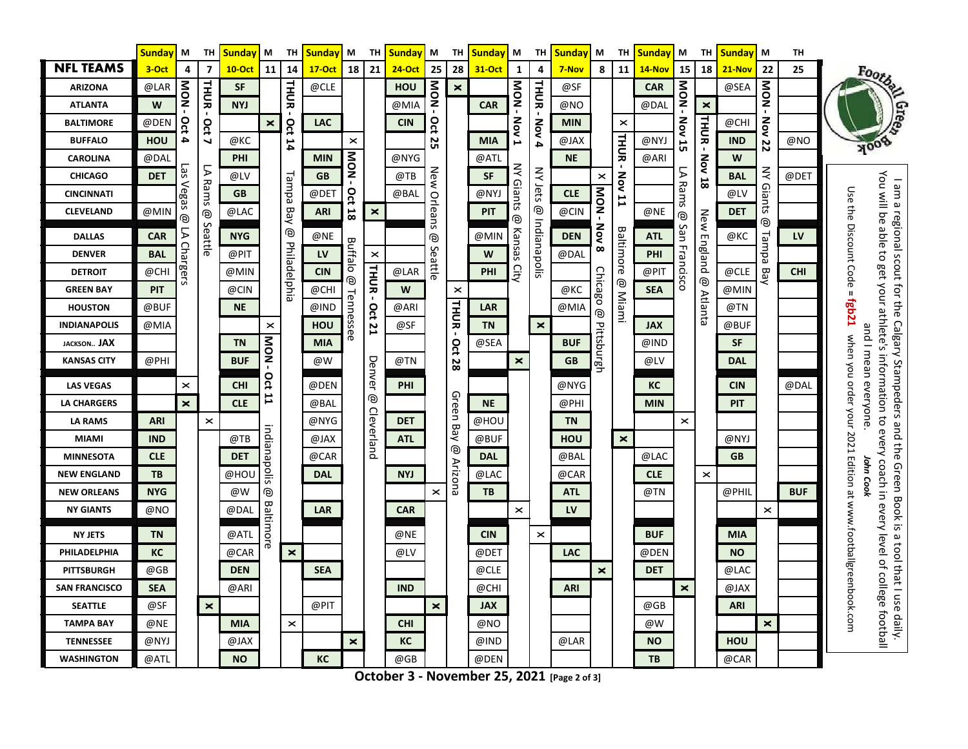|                      | <b>Sunday</b> | М                       | TH                       | <b>Sunday</b> | М                | TH             | <b>Sunday</b> | М                     | TН             | <b>Sunday</b> | M          | TH                    | <b>Sunday</b> | M                     | TH                    | Sunday     | М                     | TH                    | <b>Sunday</b> | M                | TH                    | <b>Sunday</b> | M                | TH         |                                                                                                                                                                                                                                                        |
|----------------------|---------------|-------------------------|--------------------------|---------------|------------------|----------------|---------------|-----------------------|----------------|---------------|------------|-----------------------|---------------|-----------------------|-----------------------|------------|-----------------------|-----------------------|---------------|------------------|-----------------------|---------------|------------------|------------|--------------------------------------------------------------------------------------------------------------------------------------------------------------------------------------------------------------------------------------------------------|
| <b>NFL TEAMS</b>     | 3-Oct         | 4                       | $\overline{7}$           | <b>10-Oct</b> | 11               | 14             | <b>17-Oct</b> | 18                    | 21             | <b>24-Oct</b> | 25         | 28                    | <b>31 Oct</b> | 1                     | 4                     | 7-Nov      | 8                     | 11                    | 14-Nov        | 15               | 18                    | $21 - Nov$    | 22               | 25         | Footba                                                                                                                                                                                                                                                 |
| <b>ARIZONA</b>       | @LAR          | NOM                     |                          | <b>SF</b>     |                  | <b>THUR</b>    | @CLE          |                       |                | HOU           | <b>NON</b> | $\pmb{\times}$        |               | - NOM                 |                       | @SF        |                       |                       | <b>CAR</b>    |                  |                       | @SEA          |                  |            |                                                                                                                                                                                                                                                        |
| <b>ATLANTA</b>       | W             |                         | THUR-                    | <b>NYJ</b>    |                  |                |               |                       |                | @MIA          |            |                       | <b>CAR</b>    |                       | THUR-                 | @NO        |                       |                       | @DAL          | - NOM            | $\boldsymbol{\times}$ |               | - NOM            |            |                                                                                                                                                                                                                                                        |
| <b>BALTIMORE</b>     | @DEN          | Oct 4                   | Oct                      |               | ×                |                | <b>LAC</b>    |                       |                | <b>CIN</b>    | Oct        |                       |               | <b>Nov 1</b>          | Nov 4                 | <b>MIN</b> |                       | $\boldsymbol{\times}$ |               |                  | THUR-                 | @CHI          |                  |            |                                                                                                                                                                                                                                                        |
| <b>BUFFALO</b>       | <b>HOU</b>    |                         | $\overline{\phantom{0}}$ | @KC           |                  | <b>Oct 14</b>  |               | $\pmb{\times}$        |                |               | 25         |                       | <b>MIA</b>    |                       |                       | @JAX       |                       | THUR-                 | @NYJ          | <b>Nov 15</b>    |                       | <b>IND</b>    | <b>Nov 22</b>    | @NO        |                                                                                                                                                                                                                                                        |
| <b>CAROLINA</b>      | @DAL          |                         |                          | PHI           |                  |                | <b>MIN</b>    | <b>NOM</b>            |                | @NYG          |            |                       | @ATL          |                       |                       | <b>NE</b>  |                       |                       | @ARI          |                  | Nov                   | W             |                  |            |                                                                                                                                                                                                                                                        |
| <b>CHICAGO</b>       | <b>DET</b>    | Las Vegas               | LA Rams                  | @LV           |                  |                | <b>GB</b>     |                       |                | @TB           | New        |                       | <b>SF</b>     | ⋛                     | <b>NY Jets</b>        |            | $\boldsymbol{\times}$ | Nov                   |               | $\triangleright$ | 18                    | <b>BAL</b>    | <b>NY Giants</b> | @DET       |                                                                                                                                                                                                                                                        |
| <b>CINCINNATI</b>    |               |                         |                          | <b>GB</b>     |                  | Lampa          | @DET          | Oct                   |                | @BAL          |            |                       | @NYJ          | <b>Giants</b>         |                       | <b>CLE</b> | NOM                   | $\mathbf{r}$          |               | Rams             |                       | @LV           |                  |            |                                                                                                                                                                                                                                                        |
| <b>CLEVELAND</b>     | @MIN          | ම                       |                          | @LAC          |                  | Bay            | <b>ARI</b>    | 18                    | $\pmb{\times}$ |               | Orleans    |                       | <b>PIT</b>    | ම                     | ම                     | @CIN       |                       |                       | @NE           | ම                | New                   | <b>DET</b>    | ම                |            | Use the Discount Code =                                                                                                                                                                                                                                |
| <b>DALLAS</b>        | <b>CAR</b>    | Σ                       | @ Seattle                | <b>NYG</b>    |                  | ම              | @NE           |                       |                |               | ම          |                       | @MIN          | Kansas                | Indianapolis          | <b>DEN</b> | Nov                   | Baltimore             | <b>ATL</b>    | San              |                       | $@$ KC $\\$   |                  | LV         |                                                                                                                                                                                                                                                        |
| <b>DENVER</b>        | <b>BAL</b>    |                         |                          | @PIT          |                  |                | <b>LV</b>     | Buffalo               | $\times$       |               | Seattle    |                       | W             |                       |                       | @DAL       | $\infty$              |                       | <b>PHI</b>    |                  | England               |               | Tampa            |            |                                                                                                                                                                                                                                                        |
| <b>DETROIT</b>       | @CHI          | Chargers                |                          | @MIN          |                  | Philadelphia   | <b>CIN</b>    | ම                     | THUR-          | @LAR          |            |                       | PHI           | City                  |                       |            |                       |                       | @PIT          | Francisco        | ම                     | @CLE          | <b>Bay</b>       | <b>CHI</b> |                                                                                                                                                                                                                                                        |
| <b>GREEN BAY</b>     | <b>PIT</b>    |                         |                          | @CIN          |                  |                | @CHI          |                       |                | W             |            | $\boldsymbol{\times}$ |               |                       |                       | @KC        | <b>Chicago</b>        | @ Miami               | <b>SEA</b>    |                  |                       | @MIN          |                  |            |                                                                                                                                                                                                                                                        |
| <b>HOUSTON</b>       | @BUF          |                         |                          | <b>NE</b>     |                  |                | @IND          | Tennessee             |                | @ARI          |            | THUR-                 | <b>LAR</b>    |                       |                       | @MIA       | ම                     |                       |               |                  | <b>Atlanta</b>        | @TN           |                  |            |                                                                                                                                                                                                                                                        |
| <b>INDIANAPOLIS</b>  | @MIA          |                         |                          |               | $\times$         |                | <b>HOU</b>    |                       | <b>Oct 21</b>  | @SF           |            |                       | <b>TN</b>     |                       | $\pmb{\times}$        |            |                       |                       | <b>JAX</b>    |                  |                       | @BUF          |                  |            |                                                                                                                                                                                                                                                        |
| <b>JACKSON JAX</b>   |               |                         |                          | <b>TN</b>     | NON-             |                | <b>MIA</b>    |                       |                |               |            |                       | @SEA          |                       |                       | <b>BUF</b> |                       |                       | @IND          |                  |                       | <b>SF</b>     |                  |            |                                                                                                                                                                                                                                                        |
| <b>KANSAS CITY</b>   | @PHI          |                         |                          | <b>BUF</b>    |                  |                | @W            |                       | Denver         | @TN           |            | <b>Oct 28</b>         |               | $\boldsymbol{\times}$ |                       | <b>GB</b>  | Pittsburgh            |                       | @LV           |                  |                       | <b>DAL</b>    |                  |            | You will be able to get your athlete's information to<br>I am a regional scout for the Calgary Stampeders and the Green Book is a tool that I use daily.<br>fgb21 when you order your 2021 Edition at www.footballgreenbook.com<br>and I mean everyone |
| <b>LAS VEGAS</b>     |               | $\pmb{\times}$          |                          | <b>CHI</b>    | Oct              |                | @DEN          |                       |                | <b>PHI</b>    |            |                       |               |                       |                       | @NYG       |                       |                       | КC            |                  |                       | <b>CIN</b>    |                  | @DAL       |                                                                                                                                                                                                                                                        |
| <b>LA CHARGERS</b>   |               | $\overline{\mathbf{x}}$ |                          | <b>CLE</b>    | 11               |                | @BAL          |                       | ම              |               |            |                       | <b>NE</b>     |                       |                       | @PHI       |                       |                       | <b>MIN</b>    |                  |                       | PIT           |                  |            |                                                                                                                                                                                                                                                        |
| <b>LA RAMS</b>       | <b>ARI</b>    |                         | $\times$                 |               |                  |                | @NYG          |                       |                | <b>DET</b>    |            | Green Bay             | @HOU          |                       |                       | <b>TN</b>  |                       |                       |               | $\times$         |                       |               |                  |            |                                                                                                                                                                                                                                                        |
| <b>MIAMI</b>         | <b>IND</b>    |                         |                          | @TB           | indianapolis     |                | @JAX          |                       | Cleverland     | <b>ATL</b>    |            |                       | @BUF          |                       |                       | HOU        |                       | $\pmb{\times}$        |               |                  |                       | @NYJ          |                  |            | every coach in                                                                                                                                                                                                                                         |
| <b>MINNESOTA</b>     | <b>CLE</b>    |                         |                          | <b>DET</b>    |                  |                | @CAR          |                       |                |               |            | ම                     | <b>DAL</b>    |                       |                       | @BAL       |                       |                       | @LAC          |                  |                       | <b>GB</b>     |                  |            |                                                                                                                                                                                                                                                        |
| <b>NEW ENGLAND</b>   | TB            |                         |                          | @HOU          |                  |                | <b>DAL</b>    |                       |                | <b>NYJ</b>    |            | <b>Arizona</b>        | @LAC          |                       |                       | @CAR       |                       |                       | <b>CLE</b>    |                  | $\times$              |               |                  |            | John Cook                                                                                                                                                                                                                                              |
| <b>NEW ORLEANS</b>   | <b>NYG</b>    |                         |                          | @W            | ම                |                |               |                       |                |               | $\times$   |                       | TB            |                       |                       | <b>ATL</b> |                       |                       | @TN           |                  |                       | @PHIL         |                  | <b>BUF</b> |                                                                                                                                                                                                                                                        |
| <b>NY GIANTS</b>     | @NO           |                         |                          | @DAL          |                  |                | <b>LAR</b>    |                       |                | <b>CAR</b>    |            |                       |               | $\times$              |                       | LV         |                       |                       |               |                  |                       |               | $\times$         |            | every                                                                                                                                                                                                                                                  |
| <b>NY JETS</b>       | <b>TN</b>     |                         |                          | @ATL          | <b>Baltimore</b> |                |               |                       |                | @NE           |            |                       | <b>CIN</b>    |                       | $\boldsymbol{\times}$ |            |                       |                       | <b>BUF</b>    |                  |                       | <b>MIA</b>    |                  |            |                                                                                                                                                                                                                                                        |
| PHILADELPHIA         | КC            |                         |                          | @CAR          |                  | $\pmb{\times}$ |               |                       |                | @LV           |            |                       | @DET          |                       |                       | <b>LAC</b> |                       |                       | @DEN          |                  |                       | <b>NO</b>     |                  |            |                                                                                                                                                                                                                                                        |
| <b>PITTSBURGH</b>    | @GB           |                         |                          | <b>DEN</b>    |                  |                | <b>SEA</b>    |                       |                |               |            |                       | @CLE          |                       |                       |            | $\boldsymbol{\times}$ |                       | <b>DET</b>    |                  |                       | @LAC          |                  |            |                                                                                                                                                                                                                                                        |
| <b>SAN FRANCISCO</b> | <b>SEA</b>    |                         |                          | @ARI          |                  |                |               |                       |                | <b>IND</b>    |            |                       | @CHI          |                       |                       | <b>ARI</b> |                       |                       |               | $\mathsf{x}$     |                       | @JAX          |                  |            |                                                                                                                                                                                                                                                        |
| <b>SEATTLE</b>       | @SF           |                         | $\pmb{\times}$           |               |                  |                | @PIT          |                       |                |               | $\times$   |                       | <b>JAX</b>    |                       |                       |            |                       |                       | @GB           |                  |                       | <b>ARI</b>    |                  |            |                                                                                                                                                                                                                                                        |
| <b>TAMPA BAY</b>     | @NE           |                         |                          | <b>MIA</b>    |                  | $\times$       |               |                       |                | <b>CHI</b>    |            |                       | @NO           |                       |                       |            |                       |                       | @W            |                  |                       |               | $\pmb{\times}$   |            | level of college football                                                                                                                                                                                                                              |
| <b>TENNESSEE</b>     | @NYJ          |                         |                          | @JAX          |                  |                |               | $\boldsymbol{\times}$ |                | КC            |            |                       | @IND          |                       |                       | @LAR       |                       |                       | <b>NO</b>     |                  |                       | HOU           |                  |            |                                                                                                                                                                                                                                                        |
| <b>WASHINGTON</b>    | @ATL          |                         |                          | <b>NO</b>     |                  |                | KC            |                       |                | @GB           |            |                       | @DEN          |                       |                       |            |                       |                       | TB            |                  |                       | @CAR          |                  |            |                                                                                                                                                                                                                                                        |

**October 3 - November 25, 2021 [Page 2 of 3]**